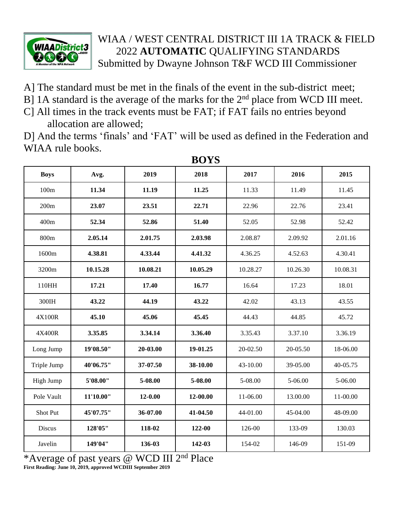

## WIAA / WEST CENTRAL DISTRICT III 1A TRACK & FIELD 2022 **AUTOMATIC** QUALIFYING STANDARDS Submitted by Dwayne Johnson T&F WCD III Commissioner

- A] The standard must be met in the finals of the event in the sub-district meet;
- B] 1A standard is the average of the marks for the  $2<sup>nd</sup>$  place from WCD III meet.
- C] All times in the track events must be FAT; if FAT fails no entries beyond allocation are allowed;

D] And the terms 'finals' and 'FAT' will be used as defined in the Federation and WIAA rule books.

| <b>Boys</b> | Avg.      | 2019     | 2018     | 2017     | 2016     | 2015     |
|-------------|-----------|----------|----------|----------|----------|----------|
| 100m        | 11.34     | 11.19    | 11.25    | 11.33    | 11.49    | 11.45    |
| 200m        | 23.07     | 23.51    | 22.71    | 22.96    | 22.76    | 23.41    |
| 400m        | 52.34     | 52.86    | 51.40    | 52.05    | 52.98    | 52.42    |
| 800m        | 2.05.14   | 2.01.75  | 2.03.98  | 2.08.87  | 2.09.92  | 2.01.16  |
| 1600m       | 4.38.81   | 4.33.44  | 4.41.32  | 4.36.25  | 4.52.63  | 4.30.41  |
| 3200m       | 10.15.28  | 10.08.21 | 10.05.29 | 10.28.27 | 10.26.30 | 10.08.31 |
| 110HH       | 17.21     | 17.40    | 16.77    | 16.64    | 17.23    | 18.01    |
| 300IH       | 43.22     | 44.19    | 43.22    | 42.02    | 43.13    | 43.55    |
| 4X100R      | 45.10     | 45.06    | 45.45    | 44.43    | 44.85    | 45.72    |
| 4X400R      | 3.35.85   | 3.34.14  | 3.36.40  | 3.35.43  | 3.37.10  | 3.36.19  |
| Long Jump   | 19'08.50" | 20-03.00 | 19-01.25 | 20-02.50 | 20-05.50 | 18-06.00 |
| Triple Jump | 40'06.75" | 37-07.50 | 38-10.00 | 43-10.00 | 39-05.00 | 40-05.75 |
| High Jump   | 5'08.00"  | 5-08.00  | 5-08.00  | 5-08.00  | 5-06.00  | 5-06.00  |
| Pole Vault  | 11'10.00" | 12-0.00  | 12-00.00 | 11-06.00 | 13.00.00 | 11-00.00 |
| Shot Put    | 45'07.75" | 36-07.00 | 41-04.50 | 44-01.00 | 45-04.00 | 48-09.00 |
| Discus      | 128'05"   | 118-02   | 122-00   | 126-00   | 133-09   | 130.03   |
| Javelin     | 149'04"   | 136-03   | 142-03   | 154-02   | 146-09   | 151-09   |

**BOYS**

\*Average of past years @ WCD III 2nd Place **First Reading: June 10, 2019, approved WCDIII September 2019**